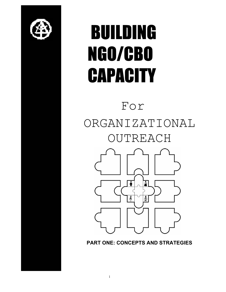

# BUILDING NGO/CBO **CAPACITY**

# For ORGANIZATIONAL OUTREACH  $\frac{2}{N}$

**PART ONE: CONCEPTS AND STRATEGIES**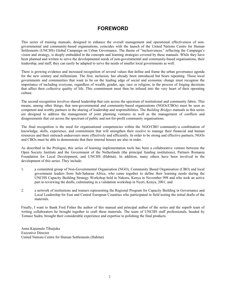# **FOREWORD**

This series of training manuals, designed to enhance the overall management and operational effectiveness of nongovernmental and community-based organisations, coincides with the launch of the United Nations Centre for Human Settlements (UNCHS) Global Campaign on Urban Governance. The theme of "inclusiveness," reflecting the Campaign's vision and strategy, is deeply embedded in the concepts and learning strategies covered by these manuals. While they have been planned and written to serve the developmental needs of non-governmental and community-based organisations, their leadership, and staff, they can easily be adapted to serve the needs of smaller local governments as well.

There is growing evidence and increased recognition of several values that define and frame the urban governance agenda for the new century and millennium. The first, inclusion, has already been introduced but bears repeating. Those local governments and communities that want to be on the leading edge of social and economic change must recognise the importance of including everyone, regardless of wealth, gender, age, race or religion, in the process of forging decisions that affect their collective quality of life. This commitment must then be infused into the very heart of their operating culture.

The second recognition involves shared leadership that cuts across the spectrum of institutional and community fabric. This means, among other things, that non-governmental and community-based organisations (NGOs/CBOs) must be seen as competent and worthy partners in the sharing of leadership and responsibilities. The *Building Bridges* manuals in this series are designed to address the management of joint planning ventures as well as the management of conflicts and disagreements that cut across the spectrum of public and not-for-profit community organisations*.*

The final recognition is the need for organisational competencies within the NGO/CBO community-a combination of knowledge, skills, experience, and commitment that will strengthen their resolve to manage their financial and human resources and their outreach endeavours more effectively and efficiently. In order to be strong and effective partners, NGOs and CBOs must be able to demonstrate that their internal houses are also in order.

As described in the Prologue, this series of learning implementation tools has been a collaborative venture between the Open Society Institute and the Government of the Netherlands (the principal funding institutions), Partners Romania Foundation for Local Development, and UNCHS (Habitat). In addition, many others have been involved in the development of this series. They include:

- 1. a committed group of Non-Governmental Organisation (NGO), Community Based Organisation (CBO) and local government leaders from Sub-Saharan Africa, who came together to define their learning needs during the UNCHS Capacity Building Strategy Workshop held in Nakuru, Kenya in November 998 and who took an active part in reviewing the drafts, culminating in a validation workshop in Nyeri, Kenya, 2001; and
- 2. a network of institutions and trainers representing the Regional Program for Capacity Building in Governance and Local Leadership for East and Central European Countries who participated in field testing the initial drafts of the materials.

Finally, I want to thank Fred Fisher the author of this manual and principal author of the series and the superb team of writing collaborators he brought together to craft these materials. The team of UNCHS staff professionals, headed by Tomasz Sudra, brought their considerable experience and expertise to polishing the final products.

Anna Kajumulo Tibaijuka Executive Director United Nations Centre for Human Settlements (Habitat)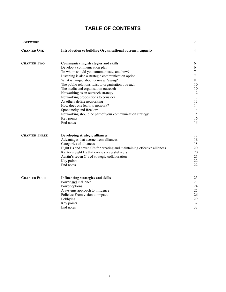# **TABLE OF CONTENTS**

| <b>FOREWORD</b>      |                                                                          | 2                |
|----------------------|--------------------------------------------------------------------------|------------------|
| <b>CHAPTER ONE</b>   | Introduction to building Organisational outreach capacity                | $\overline{4}$   |
| <b>CHAPTER TWO</b>   | <b>Communicating strategies and skills</b>                               | 6                |
|                      | Develop a communication plan                                             | 6                |
|                      | To whom should you communicate, and how?                                 | $\boldsymbol{7}$ |
|                      | Listening is also a strategic communication option                       | $\boldsymbol{7}$ |
|                      | What is unique about <i>active listening?</i>                            | 8                |
|                      | The public relations twist to organisation outreach                      | 10               |
|                      | The media and organisation outreach                                      | 10               |
|                      | Networking as an outreach strategy                                       | 12               |
|                      | Networking propositions to consider                                      | 13               |
|                      | As others define networking                                              | 13               |
|                      | How does one learn to network?                                           | 14               |
|                      | Spontaneity and freedom                                                  | 14               |
|                      | Networking should be part of your communication strategy                 | 15               |
|                      | Key points                                                               | 16               |
|                      | End notes                                                                | 16               |
| <b>CHAPTER THREE</b> | Developing strategic alliances                                           | 17               |
|                      | Advantages that accrue from alliances                                    | 18               |
|                      | Categories of alliances                                                  | 18               |
|                      | Eight I's and seven C's for creating and maintaining effective alliances | 20               |
|                      | Kanter's eight I's that create successful we's                           | 20               |
|                      | Austin's seven C's of strategic collaboration                            | 21               |
|                      | Key points                                                               | 22               |
|                      | End notes                                                                | 22               |
| <b>CHAPTER FOUR</b>  | <b>Influencing strategies and skills</b>                                 | 23               |
|                      | Power and influence                                                      | 23               |
|                      | Power options                                                            | 24               |
|                      | A systems approach to influence                                          | 25               |
|                      | Policies: From vision to impact                                          | 26               |
|                      | Lobbying                                                                 | 29               |
|                      | Key points                                                               | 32               |
|                      | End notes                                                                | 32               |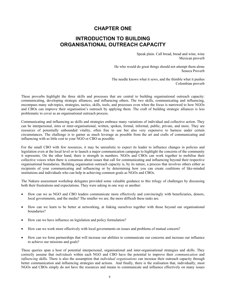# **CHAPTER ONE**

# **INTRODUCTION TO BUILDING ORGANISATIONAL OUTREACH CAPACITY**

Speak plain. Call bread, bread and wine, wine Mexican proverb

He who would do great things should not attempt them alone Seneca Proverb

The needle knows what it sews, and the thimble what it pushes Colombian proverb

These proverbs highlight the three skills and processes that are central to building organisational outreach capacity: communicating, developing strategic alliances, and influencing others. The two skills, communicating and influencing, encompass many sub-topics, strategies, tactics, skills, tools, and processes even when the focus is narrowed to how NGOs and CBOs can improve their organisation's outreach by applying them. The craft of building strategic alliances is less problematic to cover as an organisational outreach process.

Communicating and influencing as skills and strategies embrace many variations of individual and collective action. They can be interpersonal, intra or inter-organisational, written, spoken, formal, informal, public, private, and more. They are resources of potentially unbounded vitality, often free to use but also very expensive to harness under certain circumstances. The challenge is to garner as much leverage as possible from the art and crafts of communicating and influencing with as little cost to your NGO or CBO as possible.

For the small CBO with few resources, it may be unrealistic to expect its leader to influence changes in policies and legislation even at the local level or to launch a major communication campaign to highlight the concerns of the community it represents. On the other hand, there is strength in numbers. NGOs and CBOs can work together to mobilise their collective voices when there is consensus about issues that call for communicating and influencing beyond their respective organisational boundaries. Building organisation outreach capacity is, by its nature, a process that involves others either as recipients of your communicating and influencing or by determining how you can create coalitions of like-minded institutions and individuals who can help in achieving common goals as NGOs and CBOs.

The Nakuru assessment workshop delegates provided some valuable guidance to this trilogy of challenges by discussing both their frustrations and expectations. They were asking in one way or another:

- How can we as NGO and CBO leaders communicate more effectively and convincingly with beneficiaries, donors, local governments, and the media? The smaller we are, the more difficult these tasks are.
- How can we learn to be better at networking, at linking ourselves together with those beyond our organisational boundaries?
- How can we have influence on legislation and policy formulation?
- How can we work more effectively with local governments on issues and problems of mutual concern?
- How can we form partnerships that will increase our abilities to communicate our concerns and increase our influence to achieve our missions and goals?

These queries span a host of potential interpersonal, organisational and inter-organisational strategies and skills. They correctly assume that *individuals* within each NGO and CBO have the potential to improve their *communication* and *influencing* skills. There is also the assumption that *individual organisations* can increase their outreach capacity through better communication and influencing strategies and actions. And finally, there is the realisation that, individually, most NGOs and CBOs simply do not have the resources and means to communicate and influence effectively on many issues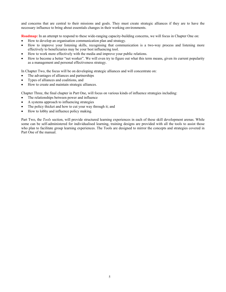and concerns that are central to their missions and goals. They must create strategic alliances if they are to have the necessary influence to bring about essentials changes in their working environments.

**Roadmap:** In an attempt to respond to these wide-ranging capacity-building concerns, we will focus in Chapter One on:

- How to develop an organisation communication plan and strategy.
- How to improve your listening skills, recognising that communication is a two-way process and listening more effectively to beneficiaries may be your best influencing tool.
- How to work more effectively with the media and improve your public relations.
- How to become a better "net worker". We will even try to figure out what this term means, given its current popularity as a management and personal effectiveness strategy.

In Chapter Two, the focus will be on developing strategic alliances and will concentrate on:

- The advantages of alliances and partnerships
- Types of alliances and coalitions, and
- How to create and maintain strategic alliances.

Chapter Three, the final chapter in Part One, will focus on various kinds of influence strategies including:

- The relationships between power and influence
- A systems approach to influencing strategies
- The policy thicket and how to cut your way through it; and
- How to lobby and influence policy making.

Part Two, the *Tools* section, will provide structured learning experiences in each of these skill development arenas. While some can be self-administered for individualised learning, training designs are provided with all the tools to assist those who plan to facilitate group learning experiences. The Tools are designed to mirror the concepts and strategies covered in Part One of the manual.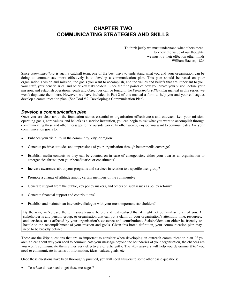# **CHAPTER TWO COMMUNICATING STRATEGIES AND SKILLS**

To think justly we must understand what others mean; to know the value of our thoughts, we must try their effect on other minds William Hazlett, 1826

Since *communications* is such a catchall term, one of the best ways to understand what you and your organisation can be doing to communicate more effectively is to develop a communication plan. This plan should be based on your organisation's vision and mission, the goals you want to accomplish, and the values and beliefs that are important to you, your staff, your beneficiaries, and other key stakeholders. Since the fine points of how you create your vision, define your mission, and establish operational goals and objectives can be found in the *Participatory Planning* manual in this series, we won't duplicate them here. However, we have included in Part 2 of this manual a form to help you and your colleagues develop a communication plan. (See Tool # 2: Developing a Communication Plan)

#### *Develop a communication plan*

Once you are clear about the foundation stones essential to organisation effectiveness and outreach, i.e., your mission, operating goals, core values, and beliefs as a service institution, you can begin to ask what you want to accomplish through communicating these and other messages to the outside world. In other words, *why* do you want to communicate? Are your communication goals to:

- Enhance your visibility in the community, city, or region?
- Generate positive attitudes and impressions of your organisation through better media coverage?
- Establish media contacts so they can be counted on in case of emergencies, either your own as an organisation or emergencies thrust upon your beneficiaries or constituents?
- Increase awareness about your programs and services in relation to a specific user group?
- Promote a change of attitude among certain members of the community?
- Generate support from the public, key policy makers, and others on such issues as policy reform?
- Generate financial support and contributions?
- Establish and maintain an interactive dialogue with your most important stakeholders?

By the way, we've used the term *stakeholders* before and just realised that it might not be familiar to all of you. A stakeholder is any person, group, or organisation that can put a claim on your organisation's attention, time, resources, and services, or is affected by your organisation's existence and contributions. Stakeholders can either be friendly or hostile to the accomplishment of your mission and goals. Given this broad definition, your communication plan may need to be broadly defined.

These are the *Why* questions that are so important to consider when developing an outreach communication plan. If you aren't clear about why you need to communicate your message beyond the boundaries of your organisation, the chances are you won't communicate them either very effectively or efficiently. The *Why* answers will help you determine *What* you need to communicate in terms of information, ideas, values, goals, etc.

Once these questions have been thoroughly pursued, you will need answers to some other basic questions:

• To w*hom* do we need to get these messages?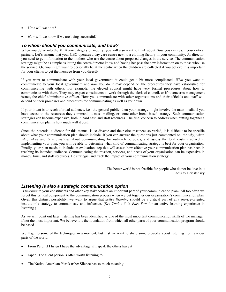- *How* will we do it?
- *How* will we know if we are being successful?

#### *To whom should you communicate, and how?*

When you delve into the *To Whom* category of inquiry, you will also want to think about *How* you can reach your critical partners. Let's assume that your CBO operates a day care centre next to a clothing factory in your community. As director, you need to get information to the mothers who use the centre about proposed changes in the service. The communication strategy might be as simple as letting the centre director know and having her pass the new information on to those who use the service. Or, you might want to personally be at the centre when the children are collected if you believe it is important for your clients to get the message from you directly.

If you want to communicate with your local government, it could get a bit more complicated. *What* you want to communicate to your local government and *how* you do it may depend on the procedures they have established for communicating with others. For example, the elected council might have very formal procedures about how to communicate with them. They may expect constituents to work through the clerk of council, or if it concerns management issues, the chief administrative officer. How you communicate with other organisations and their officials and staff will depend on their processes and procedures for communicating as well as your own.

If your intent is to reach a broad audience, i.e., the general public, then your strategy might involve the mass media if you have access to the resources they command, a mass mailing, or some other broad based strategy. Such communication strategies can become expensive, both in hard cash and staff resources. The final concern to address when putting together a communication plan is how much will it cost.

Since the potential audience for this manual is so diverse and their circumstances so varied, it is difficult to be specific about what your communication plan should include. If you can answer the questions just commented on, the *why, what, who, when* and *how questions* about communicating for outreach purposes, and assess the total costs involved in implementing your plan, you will be able to determine what kind of communicating strategy is best for your organisation. Finally, your plan needs to include an evaluation step that will assess how effective your communication plan has been in reaching its intended audience. Communicating the mission, services, and needs of your organisation can be expensive in money, time, and staff resources. Be strategic, and track the impact of your communication strategy.

> The better world is not feasible for people who do not believe in it Ladislav Briestensky

#### *Listening is also a strategic communication option*

Is *listening* to your constituents and other key stakeholders an important part of your communication plan? All too often we forget this critical component to the communication process when we put together our organisation's communication plan. Given this distinct possibility, we want to argue that *active listening* should be a critical part of any service-oriented institution's strategy to communicate and influence. (See *Tool # 3 in Part Two* for an active learning experience in listening.)

As we will point out later, listening has been identified as one of the most important communication skills of the manager, if not the most important. We believe it is the foundation from which all other parts of your communication program should be based.

We'll get to some of the techniques in a moment, but first we want to share some proverbs about listening from various parts of the world.

- From Peru: If I listen I have the advantage, if I speak the others have it
- Japan: The silent person is often worth listening to
- The Native American Yurok tribe: Silence has so much meaning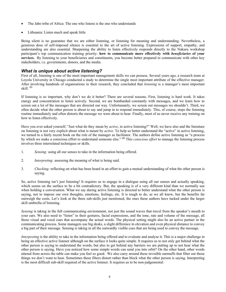- The Jabo tribe of Africa: The one who listens is the one who understands
- Lithuania: Listen much and speak little

Being silent is no guarantee that we are either listening, or listening for meaning and understanding. Nevertheless, a generous dose of self-imposed silence is essential to the art of active listening. Expressions of support, empathy, and understanding are also essential. Sharpening the ability to listen effectively responds directly to the Nakuru workshop participant's top communication training priority: **how to communicate more effectively with** *beneficiaries* **of your services.** By listening to your beneficiaries and constituents, you become better prepared to communicate with other key stakeholders, i.e. governments, donors, and the media.

#### *What is unique about active listening?*

First of all, listening is one of the most important management skills we can possess. Several years ago, a research team at Loyola University in Chicago conducted a study to determine the single most important attribute of the effective manager. After involving hundreds of organisations in their research, they concluded that *listening* is a manager's most important skill. **(1)**

If listening is so important, why don't we do it better? There are several reasons. First, listening is hard work. It takes energy and concentration to listen actively. Second, we are bombarded constantly with messages, and we learn how to screen out a lot of the messages that are directed our way. Unfortunately, we screen out messages we shouldn't. Third, we often decide what the other person is about to say and jump in to respond immediately. This, of course, stops the listening routine immediately and often distorts the message we were about to hear. Finally, most of us never receive any training on how to listen effectively.

Have you ever asked yourself, "Just what do they mean by *active*, in active listening?" Well, we have also and the literature on listening is not very explicit about what is meant by *active.* To help us better understand the "active" in active listening, we turned to a fairly recent book on the role of the manager as facilitator. The authors define active listening as "a process by which we make a conscious effort to understand someone else." **(2)** This *conscious effort* to manage the listening process involves three interrelated techniques or skills.

- 1. *Sensing:* using all our senses to take in the information being offered.
- 2. *Interpreting:* assessing the meaning of what is being said.
- 3*. Checking:* reflecting on what has been heard in an effort to gain a mutual understanding of what the other person is saying.

So, active listening isn't just listening! It requires us to engage in a dialogue using all our senses and actually speaking, which seems on the surface to be a bit contradictory. But, the speaking is of a very different kind than we normally use when holding a conversation. What we say during active listening is directed to better understand what the other person is saying, not to impose our own thoughts, emotions, feelings, etc. It is tough to do, as we all know, but the benefits far outweigh the costs. Let's look at the three sub-skills just mentioned, the ones these authors have tucked under the larger skill umbrella of listening.

*Sensing* is taking in the full communicating environment, not just the sound waves that travel from the speaker's mouth to your ears. We also need to "listen" to their gestures, facial expressions, and the tone, rate and volume of the message, all those visual and vocal cues that accompany the actual words. The physical setting might also be an active partner in the communicating process. Some managers use big desks, a slight difference in elevation and even physical distance to convey a big part of their message. Sensing is taking in all the outwardly visible cues that are being used to convey the message.

*Interpreting* is the ability to take in the information being offered and to evaluate and analyse it. This is a major challenge in being an effective active listener although on the surface it looks quite simple. It requires us to not only get behind what the other person is saying to understand the words, but also to get behind any barriers we are putting up to not hear what the other person is saying. Have you noticed how some simple words can send you into orbit? On the other hand, other words uttered from across the table can make you feel so good. We also carry around these invisible earmuffs that filter out those things we don't want to hear. Sometimes these filters distort rather than block what the other person is saying. Interpreting is the most difficult sub-skill required of the active listener. It requires us to be non-judgemental.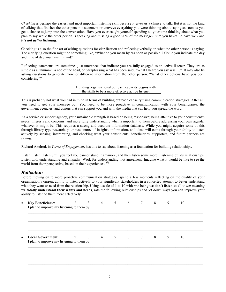*Checking* is perhaps the easiest and most important listening skill because it gives us a chance to talk. But it is not the kind of talking that finishes the other person's statement or conveys everything you were thinking about saying as soon as you get a chance to jump into the conversation. Have you ever caught yourself spending all your time thinking about what you plan to say while the other person is speaking and missing a good 90% of the message? Sure you have! So have we - and **it's not** *active listening.* 

Checking is also the fine art of asking questions for clarification and reflecting verbally on what the other person is saying. The clarifying question might be something like, "What do you mean by 'as soon as possible'? Could you indicate the day and time of day you have in mind?"

Reflecting statements are sometimes just utterances that indicate you are fully engaged as an active listener. They are as simple as a "hmmm", a nod of the head, or paraphrasing what has been said, "What I heard you say was ...". It may also be asking questions to generate more or different information from the other person. "What other options have you been considering"?

> Building organisational outreach capacity begins with the skills to be a more effective active listener

This is probably not what you had in mind in terms of building outreach capacity using communication strategies. After all, you need to get your message out. You need to be more proactive in communication with your beneficiaries, the government agencies, and donors that can support you and with the media that can help you spread the word.

As a service or support agency, your sustainable strength is based on being responsive; being attentive to your constituent's needs, interests and concerns; and more fully understanding what is important to them before addressing your own agenda, whatever it might be. This requires a strong and accurate information database. While you might acquire some of this through library-type research, your best source of insights, information, and ideas will come through your ability to listen actively by sensing, interpreting, and checking what your constituents, beneficiaries, supporters, and future partners are saying.

Richard Axelrod, in *Terms of Engagement*, has this to say about listening as a foundation for building relationships.

Listen, listen, listen until you feel you cannot stand it anymore, and then listen some more. Listening builds relationships. Listen with understanding and empathy. Work for understanding, not agreement. Imagine what it would be like to see the world from their perspective, based on their experiences. **(3)**

# *Reflection*

Before moving on to more proactive communication strategies, spend a few moments reflecting on the quality of your organisation's current ability to listen actively to your significant stakeholders in a concerted attempt to better understand what they want or need from the relationship. Using a scale of 1 to 10 with *one* being **we don't listen at all** to *ten* meaning **we totally understand their wants and needs**, rate the following relationships and jot down ways you can improve your ability to listen to them more effectively.

| Key Beneficiaries: 1 2 3                                                               |  | $\overline{4}$ | $5 \quad \text{or}$ | 6 | $7\overline{ }$ | 8 | 9 | 10 |  |
|----------------------------------------------------------------------------------------|--|----------------|---------------------|---|-----------------|---|---|----|--|
| I plan to improve my listening to them by:                                             |  |                |                     |   |                 |   |   |    |  |
|                                                                                        |  |                |                     |   |                 |   |   |    |  |
|                                                                                        |  |                |                     |   |                 |   |   |    |  |
|                                                                                        |  |                |                     |   |                 |   |   |    |  |
|                                                                                        |  |                |                     |   |                 |   |   |    |  |
|                                                                                        |  |                |                     |   |                 |   |   |    |  |
| <b>Local Government:</b> 1 2 3 4 5 6 7 8<br>I plan to improve my listening to them by: |  |                |                     |   |                 |   | 9 | 10 |  |
|                                                                                        |  |                |                     |   |                 |   |   |    |  |

 $\_$  ,  $\_$  ,  $\_$  ,  $\_$  ,  $\_$  ,  $\_$  ,  $\_$  ,  $\_$  ,  $\_$  ,  $\_$  ,  $\_$  ,  $\_$  ,  $\_$  ,  $\_$  ,  $\_$  ,  $\_$  ,  $\_$  ,  $\_$  ,  $\_$  ,  $\_$  ,  $\_$  ,  $\_$  ,  $\_$  ,  $\_$  ,  $\_$  ,  $\_$  ,  $\_$  ,  $\_$  ,  $\_$  ,  $\_$  ,  $\_$  ,  $\_$  ,  $\_$  ,  $\_$  ,  $\_$  ,  $\_$  ,  $\_$  ,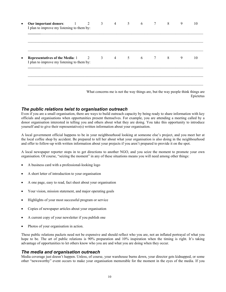| Our important donors: 1<br>I plan to improve my listening to them by:             | $\overline{2}$ | $\mathbf{3}$ | $\overline{4}$ | 5 <sup>5</sup>  | 6               | 7      | 8        | 9 | 10 |
|-----------------------------------------------------------------------------------|----------------|--------------|----------------|-----------------|-----------------|--------|----------|---|----|
|                                                                                   |                |              |                |                 |                 |        |          |   |    |
| Representatives of the Media: 1 2 3<br>I plan to improve my listening to them by: |                |              | $\overline{4}$ | $5\overline{)}$ | $6\overline{6}$ | $\tau$ | $\sim$ 8 | 9 | 10 |
|                                                                                   |                |              |                |                 |                 |        |          |   |    |

Epictetus

#### *The public relations twist to organisation outreach*

Even if you are a small organisation, there are ways to build outreach capacity by being ready to share information with key officials and organisations when opportunities present themselves. For example, you are attending a meeting called by a donor organisation interested in telling you and others about what they are doing. You take this opportunity to introduce yourself and to give their representative(s) written information about your organisation.

A local government official happens to be in your neighbourhood looking at someone else's project, and you meet her at the local coffee shop by accident. Be prepared to tell her about what your organisation is also doing in the neighbourhood and offer to follow-up with written information about your projects if you aren't prepared to provide it on the spot.

A local newspaper reporter stops in to get directions to another NGO, and you seize the moment to promote your own organisation. Of course, "seizing the moment" in any of these situations means you will need among other things:

- A business card with a professional-looking logo
- A short letter of introduction to your organisation
- A one page, easy to read, fact sheet about your organisation
- Your vision, mission statement, and major operating goals
- Highlights of your most successful program or service
- Copies of newspaper articles about your organisation
- A current copy of your newsletter if you publish one
- Photos of your organisation in action.

These public relations packets need not be expensive and should reflect who you are, not an inflated portrayal of what you hope to be. The art of public relations is 90% preparation and 10% inspiration when the timing is right. It's taking advantage of opportunities to let others know who you are and what you are doing when they occur.

#### *The media and organisation outreach*

Media coverage just doesn't happen. Unless, of course, your warehouse burns down, your director gets kidnapped, or some other "newsworthy" event occurs to make your organisation memorable for the moment in the eyes of the media. If you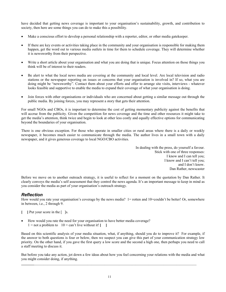have decided that getting news coverage is important to your organisation's sustainability, growth, and contribution to society, then here are some things you can do to make this a possibility.

- Make a conscious effort to develop a personal relationship with a reporter, editor, or other media gatekeeper.
- If there are key events or activities taking place in the community and your organisation is responsible for making them happen, get the word out to various media outlets in time for them to schedule coverage. They will determine whether it is newsworthy from their perspective.
- Write a short article about your organisation and what you are doing that is unique. Focus attention on those things you think will be of interest to their readers.
- Be alert to what the local news media are covering at the community and local level. Are local television and radio stations or the newspaper reporting on issues or concerns that your organisation is involved in? If so, what you are doing might be "newsworthy". Contact them about your efforts and offer to arrange site visits, interviews - whatever looks feasible and supportive to enable the media to expand their coverage of what your organisation is doing.
- Join forces with other organisations or individuals who are concerned about getting a similar message out through the public media. By joining forces, you may represent a story that gets their attention.

For small NGOs and CBOs, it is important to determine the cost of getting momentary publicity against the benefits that will accrue from the publicity. Given the competition for news coverage and the time and other resources it might take to get the media's attention, think twice and begin to look at other less costly and equally effective options for communicating beyond the boundaries of your organisation.

There is one obvious exception. For those who operate in smaller cities or rural areas where there is a daily or weekly newspaper, it becomes much easier to communicate through the media. The author lives in a small town with a daily newspaper, and it gives generous coverage to local NGO/CBO activities.

> In dealing with the press, do yourself a favour. Stick with one of three responses: I know and I can tell you; I know and I can't tell you; and I don't know. Dan Rather, newscaster

Before we move on to another outreach strategy, it is useful to reflect for a moment on the quotation by Dan Rather. It clearly conveys the media's self assessment that they control the news agenda. It's an important message to keep in mind as you consider the media as part of your organisation's outreach strategy.

#### *Reflection*

How would you rate your organisation's coverage by the news media? 1= rotten and 10=couldn't be better! Or, somewhere in between, i.e., 2 through 9.

- **[ ]** Put your score in the [ ]s.
- How would you rate the need for your organisation to have better media coverage?  $1 =$ not a problem to  $10 =$ can't live without it!  $\begin{bmatrix} \phantom{0} \end{bmatrix}$

Based on this scientific analysis of your media situation, what, if anything, should you do to improve it? For example, if the answer to both questions is four or below, then we suspect you can give this part of your communication strategy low priority. On the other hand, if you gave the first query a low score and the second a high one, then perhaps you need to call a staff meeting to discuss it.

But before you take any action, jot down a few ideas about how you feel concerning your relations with the media and what you might consider doing, if anything.

**\_\_\_\_\_\_\_**\_\_\_\_\_\_\_\_\_\_\_\_\_\_\_\_\_\_\_\_\_\_\_\_\_\_\_\_\_\_\_\_\_\_\_\_\_\_\_\_\_\_\_\_\_\_\_\_\_\_\_\_\_\_\_\_\_\_\_\_\_\_\_\_\_\_\_\_\_\_\_\_\_\_\_\_\_\_\_\_\_\_\_\_\_\_\_\_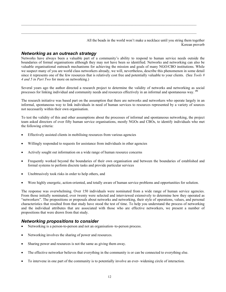All the beads in the world won't make a necklace until you string them together Korean proverb

#### *Networking as an outreach strategy*

Networks have always been a valuable part of a community's ability to respond to human service needs outside the boundaries of formal organisations although they may not have been so identified. Networks and networking can also be valuable organisational outreach mechanisms for achieving the mission and goals of many NGO/CBO institutions. While we suspect many of you are world class networkers already, we will, nevertheless, describe this phenomenon in some detail since it represents one of the few resources that is relatively cost free and potentially valuable to your clients. (See *Tools # 4 and 5 in Part Two* for more on networking.)

 $\_$  ,  $\_$  ,  $\_$  ,  $\_$  ,  $\_$  ,  $\_$  ,  $\_$  ,  $\_$  ,  $\_$  ,  $\_$  ,  $\_$  ,  $\_$  ,  $\_$  ,  $\_$  ,  $\_$  ,  $\_$  ,  $\_$  ,  $\_$  ,  $\_$  ,  $\_$  ,  $\_$  ,  $\_$  ,  $\_$  ,  $\_$  ,  $\_$  ,  $\_$  ,  $\_$  ,  $\_$  ,  $\_$  ,  $\_$  ,  $\_$  ,  $\_$  ,  $\_$  ,  $\_$  ,  $\_$  ,  $\_$  ,  $\_$  ,

Several years ago the author directed a research project to determine the validity of networks and networking as social processes for linking individual and community needs and resources effectively in an informal and spontaneous way. **(4)**

The research initiative was based part on the assumption that there are networks and networkers who operate largely in an informal, spontaneous way to link individuals in need of human services to resources represented by a variety of sources not necessarily within their own organisation.

To test the validity of this and other assumptions about the processes of informal and spontaneous networking, the project team asked directors of over fifty human service organisations, mostly NGOs and CBOs, to identify individuals who met the following criteria:

- Effectively assisted clients in mobilising resources from various agencies
- Willingly responded to requests for assistance from individuals in other agencies
- Actively sought out information on a wide range of human resource concerns
- Frequently worked beyond the boundaries of their own organisation and between the boundaries of established and formal systems to perform discrete tasks and provide particular services
- Unobtrusively took risks in order to help others, and
- Were highly energetic, action-oriented, and totally aware of human service problems and opportunities for solution.

The response was overwhelming. Over 150 individuals were nominated from a wide range of human service agencies. From those initially nominated, over twenty were selected and interviewed extensively to determine how they operated as "networkers". The propositions or proposals about networks and networking, their style of operations, values, and personal characteristics that resulted from that study have stood the test of time. To help you understand the process of networking and the individual attributes that are associated with those who are effective networkers, we present a number of propositions that were drawn from that study.

#### *Networking propositions to consider*

- Networking is a person-to-person and not an organisation–to-person process.
- Networking involves the sharing of power and resources.
- Sharing power and resources is not the same as giving them away.
- The effective networker believes that everything in the community is or can be connected to everything else.
- To intervene in one part of the community is to potentially involve an ever- widening circle of interaction.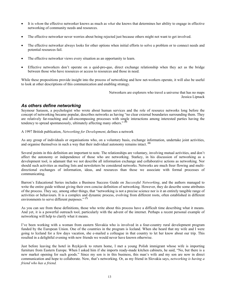- It is *whom* the effective networker knows as much as *what* she knows that determines her ability to engage in effective networking of community needs and resources.
- The effective networker never worries about being rejected just because others might not want to get involved.
- The effective networker always looks for other options when initial efforts to solve a problem or to connect needs and potential resources fail.
- The effective networker views every situation as an opportunity to learn.
- Effective networkers don't operate on a quid-pro-quo, direct exchange relationship when they act as the bridge between those who have resources or access to resources and those in need.

While these propositions provide insight into the process of networking and how net-workers operate, it will also be useful to look at other descriptions of this communication and enabling strategy.

> Networkers are explorers who travel a universe that has no maps Jessica Lipnack

#### *As others define networking*

Seymour Sarason, a psychologist who wrote about human services and the role of resource networks long before the concept of networking became popular, describes networks as having "no clear external boundaries surrounding them. They are relatively far-reaching and all-encompassing processes with single interactions among interested parties having the tendency to spread spontaneously, ultimately affecting many others." **(5)**

A 1997 British publication, *Networking for Development*, defines a network

As any group of individuals or organisations who, on a voluntary basis, exchange information, undertake joint activities, and organise themselves in such a way that their individual autonomy remains intact. **(6)**

Several points in this definition are important to note. The relationships are voluntary, involving mutual activities, and don't affect the autonomy or independence of those who are networking. Starkey, in his discussion of networking as a development tool, is adamant that we not describe all information exchange and collaborative actions as networking. Nor should such activities as mailing lists and newsletters be considered networks. Networks are much freer flowing and multidirectional exchanges of information, ideas, and resources than those we associate with formal processes of communicating.

Barron's Educational Series includes a Business Success Guide on *Successful Networking*, and the authors managed to write the entire guide without giving their own concise definition of networking. However, they do describe some attributes of the process. They say, among other things, that "networking is not a precise science nor is it an entirely tangible range of activities or behaviours. It is a complex and dynamic process, evolving from different roots, often established in different environments to serve different purposes." **(7)**

As you can see from these definitions, those who write about this process have a difficult time describing what it means. And yet, it is a powerful outreach tool, particularly with the advent of the internet. Perhaps a recent personal example of networking will help to clarify what it means.

I've been working with a woman from eastern Slovakia who is involved in a four-country rural development program funded by the European Union. One of the countries in the program is Iceland. When she heard that my wife and I were going to Iceland for a few days vacation, she e-mailed a colleague in that country to let her know about our trip. This resulted in a delightful evening with new friends we would never have known otherwise.

Just before leaving the hotel in Reykjavik to return home, I met a young Polish immigrant whose wife is importing furniture from Eastern Europe. When I asked him if she imports ready-made kitchen cabinets, he said, "No, but there is a new market opening for such goods." Since my son is in this business, this man's wife and my son are now in direct communication and hope to collaborate. Now, that's networking. Or, as my friend in Slovakia says, *networking is having a friend who has a friend.*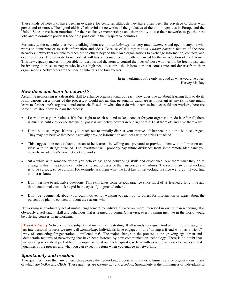These kinds of networks have been in evidence for centuries although they have often been the privilege of those with power and resources. The "good old boy" chauvinistic networks of the graduates of the old universities in Europe and the United States have been notorious for their exclusive memberships and their ability to use their networks to get the best jobs and to dominate political leadership positions in their respective countries.

Fortunately, the networks that we are talking about are not *exclusionary* but very much *inclusive* and open to anyone who wants to contribute or to seek information and ideas. Because of this *information without barriers* feature of the new networks, networkers are able to reach out to others beyond their own organisations to exchange information, contacts, and even resources. The capacity to network at will has, of course, been greatly enhanced by the introduction of the Internet. This new capacity makes it impossible for despots and dictators to control the lives of those who want to be free. It also can be irritating to those managers who have a high need to control the information that comes into and departs from their organisations. Networkers are the bane of autocrats and bureaucrats.

> In networking, you're only as good as what you give away Harvey Mackey

#### *How does one learn to network?*

Assuming networking is a desirable skill to enhance organisational outreach, how does one go about learning how to do it? From various descriptions of the process, it would appear that personality traits are as important as any skills one might learn to further one's organisational outreach. Based on what those do who seem to be successful net-workers, here are some clues about how to learn the process.

- Learn to trust your instincts. If it feels right to reach out and make a contact for your organisation, do it. After all, there is much scientific evidence that we all possess instinctive powers in our right brain. Dust them off and give them a try.
- Don't be discouraged if those you reach out to initially distrust your motives. It happens but don't be discouraged. They may not believe that people actually provide information and ideas with no strings attached.
- This suggests the next valuable lesson to be learned: be willing and prepared to provide others with information and ideas with no strings attached. The investment will probably pay future dividends from some remote idea bank you never heard of. That's how networking works.
- Sit a while with someone whom you believe has good networking skills and experience. Ask them what they do to engage in this thing people call networking and to describe their successes and failures. The second law of networking is to be curious, so be curious. For example, ask them what the first law of networking is since we forgot. If you find out, let us know.
- Don't hesitate to ask naïve questions. This skill takes some serious practice since most of us learned a long time ago that it could make us look stupid in the eyes of judgmental others.
- Don't be judgmental, about your own motives for wanting to reach out to others for information or ideas, about the person you plan to contact, or about the reasons why.

Networking is a voluntary act of mutual engagement by individuals who are more interested in giving than receiving. It is obviously a self-taught skill and behaviour that is learned by doing. Otherwise, every training institute in the world would be offering courses on networking.

*Travel Advisory* Networking is a subject that many find frustrating. It all sounds so vague. And yet, millions engage is an interpersonal process we now call *networking*. Individuals have engaged in this "having a friend who has a friend" way of connecting for generations - millenniums! The major change in the process is the growing egalitarian and democratic features of networking that have been fostered by new communication technology. There is no doubt that networking is a critical part of building organisational outreach capacity, so bear with us while we describe two essential qualities of the process and what you can expect in return when you engage in networking.

#### *Spontaneity and freedom*

Two qualities, more than any others, characterise the networking process as it relates to human service organisations, many of which are NGOs and CBOs. These qualities are *spontaneity* and *freedom.* Spontaneity is the willingness of individuals to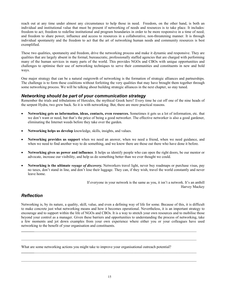reach out at any time under almost any circumstance to help those in need. Freedom, on the other hand, is both an individual and institutional value that must be present if networking of needs and resources is to take place. It includes: freedom to act; freedom to redefine institutional and program boundaries in order to be more responsive in a time of need; and freedom to share power, influence and access to resources in a collaborative, non-threatening manner. It is through individual spontaneity and the freedom to act that the art of networking human needs and community resources is best exemplified.

These two qualities, spontaneity and freedom, drive the networking process and make it dynamic and responsive. They are qualities that are largely absent in the formal, bureaucratic, professionally staffed agencies that are charged with performing many of the human services in many parts of the world. This provides NGOs and CBOs with unique opportunities and challenges to optimise their use of networking techniques to serve their communities and constituents in new and bold ways.

One major strategy that can be a natural outgrowth of networking is the formation of strategic alliances and partnerships. The challenge is to form these coalitions without forfeiting the very qualities that may have brought them together through some networking process. We will be talking about building strategic alliances in the next chapter, so stay tuned.

# *Networking should be part of your communication strategy*

Remember the trials and tribulations of Hercules, the mythical Greek hero? Every time he cut off one of the nine heads of the serpent Hydra, two grew back. So it is with networking. But, there are more practical reasons.

- **Networking gets us information, ideas, contacts, even resources.** Sometimes it gets us a lot of information, etc. that we don't want or need, but that's the price of being a good networker. The effective networker is also a good gardener, eliminating the Internet weeds before they take over the garden.
- **Networking helps us develop** knowledge, skills, insights, and values.
- **Networking provides us support** when we need an answer, when we need a friend, when we need guidance, and when we need to find another way to do something, and we know there are those out there who have done it before.
- **Networking gives us power and influence**. It helps us identify people who can open the right doors, be our mentor or advocate, increase our visibility, and help us do something better than we ever thought we could.
- **Networking is the ultimate** *voyage of discovery.* Networkers travel light, never buy roadmaps or purchase visas, pay no taxes, don't stand in line, and don't lose their luggage. They can, if they wish, travel the world constantly and never leave home.

If everyone in your network is the same as you, it isn't a network. It's an anthill Harvey Mackey

# *Reflection*

Networking is, by its nature, a quality, skill, value, and even a defining way of life for some. Because of this, it is difficult to make concrete just what networking means and how it becomes operational. Nevertheless, it is an important strategy to encourage and to support within the life of NGOs and CBOs. It is a way to stretch your own resources and to mobilise those beyond your control as a manager. Given these barriers and opportunities to understanding the process of networking, take a few moments and jot down examples from your own experience where either you or your colleagues have used networking to the benefit of your organisation and constituents.

**\_\_\_\_\_\_\_**\_\_\_\_\_\_\_\_\_\_\_\_\_\_\_\_\_\_\_\_\_\_\_\_\_\_\_\_\_\_\_\_\_\_\_\_\_\_\_\_\_\_\_\_\_\_\_\_\_\_\_\_\_\_\_\_\_\_\_\_\_\_\_\_\_\_\_\_\_\_\_\_\_\_\_\_\_\_\_\_\_\_\_\_\_\_\_\_

What are some networking actions you might take to improve your organisational outreach potential?

 $\_$  ,  $\_$  ,  $\_$  ,  $\_$  ,  $\_$  ,  $\_$  ,  $\_$  ,  $\_$  ,  $\_$  ,  $\_$  ,  $\_$  ,  $\_$  ,  $\_$  ,  $\_$  ,  $\_$  ,  $\_$  ,  $\_$  ,  $\_$  ,  $\_$  ,  $\_$  ,  $\_$  ,  $\_$  ,  $\_$  ,  $\_$  ,  $\_$  ,  $\_$  ,  $\_$  ,  $\_$  ,  $\_$  ,  $\_$  ,  $\_$  ,  $\_$  ,  $\_$  ,  $\_$  ,  $\_$  ,  $\_$  ,  $\_$  ,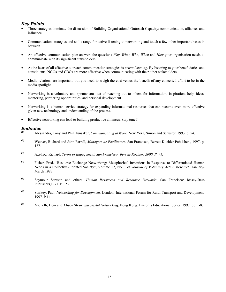#### *Key Points*

- Three strategies dominate the discussion of Building Organisational Outreach Capacity: communication, alliances and influence.
- Communication strategies and skills range for active listening to networking and touch a few other important bases in between.
- An effective communication plan answers the questions *Why, What, Who, When* and *How* your organisation needs to communicate with its significant stakeholders.
- At the heart of all effective outreach communication strategies is *active listening.* By listening to your beneficiaries and constituents, NGOs and CBOs are more effective when communicating with their other stakeholders.
- Media relations are important, but you need to weigh the cost versus the benefit of any concerted effort to be in the media spotlight.
- Networking is a voluntary and spontaneous act of reaching out to others for information, inspiration, help, ideas, mentoring, partnering opportunities, and personal development.
- Networking is a human service strategy for expanding informational resources that can become even more effective given new technology and understanding of the process.
- Effective networking can lead to building productive alliances. Stay tuned!

#### *Endnotes*

- **(1)** Alessandra, Tony and Phil Hunsaker, *Communicating at Work.* New York, Simon and Schuster, 1993. p. 54.
- **(2)** Weaver, Richard and John Farrell, *Managers as Facilitators*. San Francisco, Berrett-Koehler Publishers, 1997. p. 137.
- **(3)** Axelrod, Richard. *Terms of Engagement. San Francisco: Berrett-Koehler, 2000. P. 91.*
- **(4)** Fisher, Fred. "Resource Exchange Networking: Metaphorical Inventions in Response to Differentiated Human Needs in a Collective-Oriented Society", Volume 12, No. 1 of *Journal of Voluntary Action Research*, January-March 1983
- **(5)** Seymour Sarason and others. *Human Resources and Resource Networks*. San Francisco: Jossey-Bass Publishers,1977. P. 152.
- **(6)** Starkey, Paul. *Networking for Development.* London: International Forum for Rural Transport and Development, 1997. P.14.
- **(7)** Michelli, Deni and Alison Straw. *Successful Networking,* Hong Kong: Barron's Educational Series, 1997. pp. 1-8.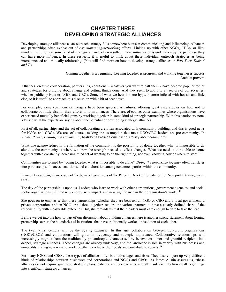# **CHAPTER THREE DEVELOPING STRATEGIC ALLIANCES**

Developing strategic alliances as an outreach strategy falls somewhere between communicating and influencing. Alliances and partnerships often evolve out of *communicating-networking* efforts. Linking up with other NGOs, CBOs, or likeminded institutions in some kind of strategic alliance often results in more *influence* or is undertaken by the parties so they can have more influence. In these respects, it is useful to think about these individual outreach strategies as being interconnected and mutually reinforcing. (You will find more on how to develop strategic alliances in *Part Two: Tools 6 and 7.*)

> Coming together is a beginning, keeping together is progress, and working together is success Arabian proverb

Alliances, creative collaboration, partnerships, coalitions – whatever you want to call them - have become popular topics and strategies for bringing about change and getting things done. And they seem to apply to all sectors of our societies, whether public, private or NGOs and CBOs. Some of what we hear is mere hype, rhetoric infused with hot air and little else, so it is useful to approach this discussion with a bit of scepticism.

For example, some coalitions or mergers have been spectacular failures, offering great case studies on how not to collaborate but little else for their efforts to form alliances. There are, of course, other examples where organisations have experienced mutually beneficial gains by working together in some kind of strategic partnership. With this cautionary note, let's see what the experts are saying about the potential of developing strategic alliances.

First of all, partnerships and the act of collaborating are often associated with community building, and this is good news for NGOs and CBOs. We are, of course, making the assumption that most NGO/CBO leaders are pro-community. In *Ritual: Power, Healing and Community,* Malidoma Patrice Some has this to say about community:

What one acknowledges in the formation of the community is the possibility of doing together what is impossible to do alone…. the community is where we draw the strength needed to effect changes. What we need is to be able to come together with a constantly increasing mind set of wanting to do the right thing, not even knowing how or where to start. **(1)**

Communities are formed by "doing together what is impossible to do alone". *Doing the impossible together* often translates into partnerships, alliances, coalitions, and collaboration among concerned parties within the community.

Frances Hesselbein, chairperson of the board of governors of the Peter F. Drucker Foundation for Non profit Management, says,

The day of the partnership is upon us. Leaders who learn to work with other corporations, government agencies, and social sector organisations will find new energy, new impact, and new significance in their organisation's work. **(2)**

She goes on to emphasise that these partnerships, whether they are between an NGO or CBO and a local government, a private corporation, and an NGO or all three together, require the various partners to have a clearly defined share of the responsibility with measurable outcomes. But, she reminds us that their leaders must care enough to dare to take the lead.

Before we get into the how-to part of our discussion about building alliances, here is another strong statement about forging partnerships across the boundaries of institutions that have traditionally worked in isolation of each other.

The twenty-first century will be the *age of alliances.* In this age, collaboration between non-profit organisations (NGOs/CBOs) and corporations will grow in frequency and strategic importance. Collaborative relationships will increasingly migrate from the traditionally philanthropic, characterised by benevolent donor and grateful recipient, into deeper, strategic alliances. These changes are already underway, and the landscape is rich in variety with businesses and nonprofits finding new ways to work together to achieve their goals and contribute to society. **(3)**

For many NGOs and CBOs, these types of alliances offer both advantages and risks. They also conjure up very different kinds of relationships between businesses and corporations and NGOs and CBOs. As James Austin assures us, "these alliances do not require grandiose strategic plans; patience and perseverance are often sufficient to turn small beginnings into significant strategic alliances."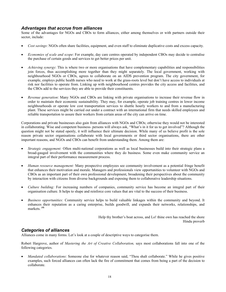#### *Advantages that accrue from alliances*

Some of the advantages for NGOs and CBOs to form alliances, either among themselves or with partners outside their sector, include:

- *Cost savings*: NGOs often share facilities, equipment, and even staff to eliminate duplicative costs and excess capacity.
- *Economies of scale and scope*: For example, day care centres operated by independent CBOs may decide to centralise the purchase of certain goods and services to get better prices per unit.
- *Achieving synergy*: This is where two or more organisations that have complementary capabilities and responsibilities join forces, thus accomplishing more together than they might separately. The local government, working with neighbourhood NGOs or CBOs, agrees to collaborate on an AIDS prevention program. The city government, for example, employs public health nurses who need to work at the grass-roots level but don't have access to individuals at risk nor facilities to operate from. Linking up with neighbourhood centres provides the city access and facilities, and the CBOs add to the services they are able to provide their constituents.
- *Revenue generation*: Many NGOs and CBOs are linking with private organisations to increase their revenue flow in order to maintain their economic sustainability. They may, for example, operate job training centres in lower income neighbourhoods or operate low cost transportation services to shuttle hourly workers to and from a manufacturing plant. These services might be carried out under a contract with an international firm that needs skilled employees and reliable transportation to assure their workers from certain areas of the city can arrive on time.

Corporations and private businesses also gain from alliances with NGOs and CBOs; otherwise they would not be interested in collaborating. Wise and competent business- persons will always ask, "What's in it for us to get involved"? Although the question might not be stated openly, it will influence their ultimate decision. While many of us believe profit is the sole reason private sector organisations collaborate with local governments or third sector organisations, there are other important reasons, and NGOs and CBOs can benefit from understanding them. Among them are:

- *Strategic engagement:* Often multi-national corporations as well as local businesses build into their strategic plans a broad-gauged involvement with the communities where they do business. Some even make community service an integral part of their performance measurement process.
- *Human resource management:* Many prospective employees see community involvement as a potential fringe benefit that enhances their motivation and morale. Managers and professionals view opportunities to volunteer with NGOs and CBOs as an important part of their own professional development, broadening their perspectives about the community by interaction with citizens from diverse backgrounds and exposing them to collaborative leadership situations.
- *Culture building:* For increasing numbers of companies, community service has become an integral part of their organisation culture. It helps to shape and reinforce core values that are vital to the success of their business.
- *Business opportunities:* Community service helps to build valuable linkages within the community and beyond. It enhances their reputation as a caring enterprise, builds goodwill, and expands their networks, relationships, and markets. **(4)**

Help thy brother's boat across, and Lo! thine own has reached the shore Hindu proverb

# *Categories of alliances*

Alliances come in many forms. Let's look at a couple of descriptive ways to categorise them.

Robert Hargrove, author of *Mastering the Art of Creative Collaboration,* says most collaborations fall into one of the following categories.

• *Mandated collaborations*: Someone else for whatever reason said, "Thou shalt collaborate." While he gives positive examples, such forced alliances can often lack the fire of commitment that comes from being a part of the decision to collaborate.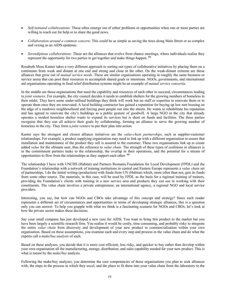- *Self-initiated collaborations:* These often emerge out of either problems or opportunities when one or more parties are willing to reach out for help or to share the good news.
- *Collaboration around a common concern:* This could be as simple as saving the trees along Main Street or as complex and vexing as an AIDS epidemic.
- *Serendipitous collaborations:* These are the alliances that evolve from chance meetings, where individuals realise they represent the opportunity for two parties to get together and make things happen. **(5)**

Rosabeth Moss Kanter takes a very different approach to sorting out types of collaborative initiatives by placing them on a continuum from weak and distant at one end and strong and close at the other. On the weak-distant extreme are those alliances that grow out of *mutual service needs.* These are similar organisations operating in roughly the same business or service arena that can pool their resources to accomplish shared goals or intentions. NGOs, governments, and international aid organisations operating in food relief distribution systems might be an example of *mutual service consortia.* 

In the middle are those organisations that need the capability and resources of each other to succeed, circumstances leading to *joint ventures*. For example, the city council decides it needs to establish shelters for the growing numbers of homeless in their midst. They have some under-utilised buildings they think will work but no staff or expertise to renovate them or to operate them once they are renovated. A local building contractor has gained a reputation for buying up low rent housing on the edge of a rundown neighbourhood and forcing poor people out into the streets. He wants to rehabilitate his reputation and has agreed to renovate the city's buildings as a public gesture of goodwill. A large NGO in the city that already operates a modest homeless shelter wants to expand its services but is short on funds and facilities. The three parties recognise that they can all achieve their goals by collaborating, forming an alliance to serve the growing number of homeless in the city. They form a *joint venture* to put their plan into action.

Kanter says the strongest and closest alliance initiatives are the *value-chain partnerships*, such as supplier-customer relationships. For example, a product supplying organisation may need to link up with a different organisation to assure that installation and maintenance of the product they sell is assured to the customer. These two organisations link up to create added *value* for the ultimate user, thus the reference to *value chain.* The strength of these types of coalitions or alliances is in the commitment partners make to the relationship, the overlap in their operations, and the potential for a stream of opportunities to flow from the relationships as they support each other. **(6)**

The relationship I have with UNCHS (Habitat) and Partners Romania Foundation for Local Development (FPDL) and the Foundation's relationship with a network of training institutions in central and Eastern Europe represents a *value chain* set of partnerships. I do the initial writing (production) with funds from UN (Habitat) which, more often than not, gets its funds from some other source. The materials, in this case, will be used by FPDL as the basis for a regional training of trainers, providing the Foundation's clients with training in a new service area and products they can use in working with their constituents. The value chain involves a private entrepreneur, an international agency, a regional NGO and local service providers.

Interesting, you say, but how can NGOs and CBOs take advantage of this concept and strategy? Since each reader represents a different set of circumstances and opportunities in terms of developing strategic alliances, this is a question only you can answer. To help you grapple with what we think is a fascinating scenario for NGOs and CBOs, let's look at how the private sector makes these decisions.

Say your small company has just developed a new cure for AIDS. You want to bring this product to the market but you have been largely a scientific research firm. You realise it would be costly, time consuming, and probably risky to integrate the entire *value chain* from discovery and development of your new product to commercialisation within your own organisation. Based on these assumptions, you examine each and every step and process in the value chain and do what the experts call a *make/buy analysis* of each.

Based on these analyses, you decide that it is more cost efficient, less risky, and quicker to buy rather than develop within your own organisation all the manufacturing, storage, distribution, and sales capability needed for your new product. This is what is meant by the *make/buy* analysis.

Following the make/buy analyses, you determine the core competencies of those organisations you plan to seek alliances with, the steps in the process in which they excel, and the place to fit them into your value chain from the laboratory to the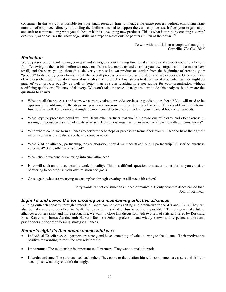consumer. In this way, it is possible for your small research firm to manage the entire process without employing large numbers of employees directly or building the facilities needed to support the various processes. It frees your organisation and staff to continue doing what you do best, which is developing new products. This is what is meant by creating a *virtual enterprise,* one that uses the knowledge, skills, and experience of outside partners in lieu of their own. **(7)**

> To win without risk is to triumph without glory Corneille, *The Cid, 1636*

## *Reflection*

We've presented some interesting concepts and strategies about creating functional alliances and suspect you might benefit from "chewing on them a bit" before we move on. Take a few moments and consider your own organisation, no matter how small, and the steps you go through to deliver your best-known product or service from the beginning of creating your "product" to its use by your clients. Break the overall process down into discrete steps and sub-processes. Once you have clearly described each step, do a "make/buy analysis" of each. The final step is to determine if a potential partner might do parts of your process equally as well or better than you can resulting in a net saving for your organisation without sacrificing quality or efficiency of delivery. We won't take the space it might require to do this analysis, but here are the questions to answer.

- What are all the processes and steps we currently take to provide services or goods to our clients? You will need to be rigorous in identifying all the steps and processes you now go through to be of service. This should include internal functions as well. For example, it might be more cost effective to contract out your financial bookkeeping needs.
- What steps or processes could we "buy" from other partners that would increase our efficiency and effectiveness in serving our constituents and not create adverse effects on our organisation or in our relationship with our constituents?
- With whom could we form alliances to perform these steps or processes? Remember: you will need to have the right fit in terms of missions, values, needs, and competencies.
- What kind of alliance, partnership, or collaboration should we undertake? A full partnership? A service purchase agreement? Some other arrangement?
- When should we consider entering into such alliances?
- How will such an alliance actually work in reality? This is a difficult question to answer but critical as you consider partnering to accomplish your own mission and goals.
- Once again, what are we trying to accomplish through creating an alliance with others?

Lofty words cannot construct an alliance or maintain it; only concrete deeds can do that. John F. Kennedy

#### *Eight I's and seven C's for creating and maintaining effective alliances*

Building outreach capacity through strategic alliances can be very exciting and productive for NGOs and CBOs. They can also be risky and unproductive. As Walt Disney said, "It's kind of fun to do the impossible." To help you make future alliances a bit less risky and more productive, we want to close this discussion with two sets of criteria offered by Rosaland Moss Kanter and James Austin, both Harvard Business School professors and widely known and respected authors and practitioners in the art of forming strategic alliances.

#### *Kanter's eight I's that create successful we's*

- **Individual Excellence.** All partners are strong and have something of value to bring to the alliance. Their motives are positive for wanting to form the new relationship.
- Importance. The relationship is important to all partners. They want to make it work.
- **Interdependence.** The partners need each other. They come to the relationship with complementary assets and skills to accomplish what they couldn't do singly.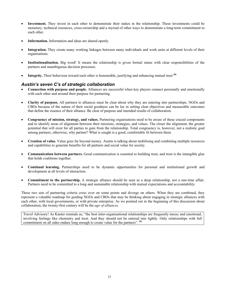- **Investment.** They invest in each other to demonstrate their stakes in the relationship. These investments could be monetary, technical resources, cross-ownership and a myriad of other ways to demonstrate a long-term commitment to each other.
- **Information.** Information and ideas are shared openly.
- **Integration.** They create many working linkages between many individuals and work units at different levels of their organisations.
- **Institutionalisation.** Big word! It means the relationship is given formal status with clear responsibilities of the partners and unambiguous decision processes.
- **Integrity.** Their behaviour toward each other is honourable, justifying and enhancing mutual trust **(8)**

#### *Austin's seven C's of strategic collaboration*

- **Connection with purpose and people.** Alliances are successful when key players connect personally and emotionally with each other and around their purpose for partnering.
- **Clarity of purpose.** All partners to alliances must be clear about why they are entering into partnerships. NGOs and CBOs because of the nature of their social goodness can be lax in setting clear objectives and measurable outcomes that define the essence of their alliance. Be clear of purpose and intended results of collaboration.
- **Congruency of mission, strategy, and values.** Partnering organisations need to be aware of these crucial components and to identify areas of alignment between their missions, strategies, and values. The closer the alignment, the greater potential that will exist for all parties to gain from the relationship. Total congruency is, however, not a realistic goal among partners, otherwise, why partner? What is sought is a good, comfortable fit between them.
- **Creation of value.** Value goes far beyond money. Austin is talking about mobilising and combining multiple resources and capabilities to generate benefits for all partners and social value for society.
- **Communication between partners.** Good communication is essential to building trust, and trust is the intangible glue that holds coalitions together.
- **Continual learning.** Partnerships need to be dynamic opportunities for personal and institutional growth and development at all levels of interaction.
- **Commitment to the partnership.** A strategic alliance should be seen as a deep relationship, not a one-time affair. Partners need to be committed to a long and sustainable relationship with mutual expectations and accountability.

These two sets of partnering criteria cross over on some points and diverge on others. When they are combined, they represent a valuable roadmap for guiding NGOs and CBOs that may be thinking about engaging in strategic alliances with each other, with local governments, or with private enterprise. As we pointed out in the beginning of this discussion about collaboration, the twenty-first century will be the *age of alliances.* 

Travel Advisory! As Kanter reminds us, "the best inter-organisational relationships are frequently messy and emotional, involving feelings like chemistry and trust. And they should not be entered into lightly. Only relationships with full commitment on all sides endure long enough to create value for the partners". **(9)**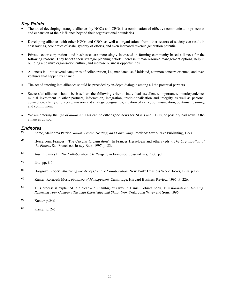## *Key Points*

- The art of developing strategic alliances by NGOs and CBOs is a combination of effective communication processes and expansion of their influence beyond their organisational boundaries.
- Developing alliances with other NGOs and CBOs as well as organisations from other sectors of society can result in cost savings, economies of scale, synergy of efforts, and even increased revenue generation potential.
- Private sector corporations and businesses are increasingly interested in forming community-based alliances for the following reasons. They benefit their strategic planning efforts, increase human resource management options, help in building a positive organisation culture, and increase business opportunities.
- Alliances fall into several categories of collaboration, i.e., mandated, self-initiated, common concern oriented, and even ventures that happen by chance.
- The act of entering into alliances should be preceded by in-depth dialogue among all the potential partners.
- Successful alliances should be based on the following criteria: individual excellence, importance, interdependence, mutual investment in other partners, information, integration, institutionalisation and integrity as well as personal connection, clarity of purpose, mission and strategy congruency, creation of value, communication, continual learning, and commitment.
- We are entering the *age of alliances*. This can be either good news for NGOs and CBOs, or possibly bad news if the alliances go sour.

#### *Endnotes*

- **(1)** Some, Malidoma Patrice. *Ritual: Power, Healing, and Community.* Portland: Swan-Rave Publishing, 1993.
- **(2)** Hesselbein, Frances. "The Circular Organisation". In Frances Hesselbein and others (eds.), *The Organisation of the Future*. San Francisco: Jossey-Bass, 1997. p. 83.
- **(3)** Austin, James E. *The Collaboration Challenge.* San Francisco: Jossey-Bass, 2000. p.1.
- **(4)** Ibid. pp. 8-14.
- **(5)** Hargrove, Robert. *Mastering the Art of Creative Collaboration.* New York: Business Week Books, 1998, p.129.
- **(6)** Kanter, Rosabeth Moss. *Frontiers of Management.* Cambridge: Harvard Business Review, 1997. P. 226.
- **(7)** This process is explained in a clear and unambiguous way in Daniel Tobin's book, *Transformational learning: Renewing Your Company Through Knowledge and Skills.* New York: John Wiley and Sons, 1996.
- **(8)** Kanter, p.246.
- **(9)** Kanter, p. 245.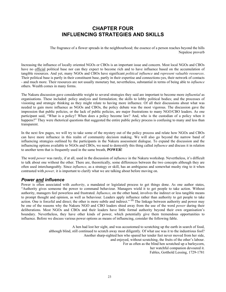# **CHAPTER FOUR INFLUENCING STRATEGIES AND SKILLS**

The fragrance of a flower spreads in the neighbourhood; the essence of a person reaches beyond the hills Nepalese proverb

Increasing the influence of locally oriented NGOs or CBOs is an important issue and concern. Most local NGOs and CBOs have no official political base nor can they expect to become rich and to have influence based on the accumulation of tangible resources. And yet, many NGOs and CBOs have significant *political influence* and *represent valuable resources*. Their political base is partly in their constituent base, partly in their expertise and connections-yes, their network of contacts - and much more. Their resources are not usually monetary but, nevertheless, substantial in terms of being able to *influence*  others. Wealth comes in many forms.

The Nakuru discussion gave considerable weight to several strategies they said are important to become more *influential* as organisations. These included: policy analysis and formulation; the skills to lobby political bodies; and the processes of visioning and strategic thinking as they might relate to having more influence. Of all their discussions about what was needed to gain more influence as NGOs and CBOs, the policy debate was the most vigorous. The discussion gave the impression that public policies, or the lack of public policies, are major frustrations to many NGO/CBO leaders. As one participant said, "What is a policy? When does a policy become law? And, who is the custodian of a policy when it happens?" They were rhetorical questions that suggested the entire public policy process is confusing to many and less than transparent.

In the next few pages, we will try to take some of the mystery out of the policy process and relate how NGOs and CBOs can have more influence in this realm of community decision making. We will also go beyond the narrow band of influencing strategies outlined by the participants in the Nakuru assessment dialogue. To expand the discussion and the influencing options available to NGOs and CBOs, we need to demystify this thing called *influence* and discuss it in relation to another term that is frequently used in the same breath, **POWER!**

The word *power* was rarely, if at all, used in the discussion of *influence* in the Nakuru workshop. Nevertheless, it's difficult to talk about one without the other. There are, theoretically, some differences between the two concepts although they are often used interchangeably. Since *influence*, as a strategy or skill, has an ambiguous and somewhat mushy ring to it when contrasted with *power,* it is important to clarify what we are talking about before moving on.

#### *Power and influence*

Power is often associated with *authority*, a mandated or legislated process to get things done. As one author states, "Authority gives someone the power to command behaviour. Managers wield it to get people to take action. Without authority, managers feel powerless and frustrated. *Influence*, on the other hand, involves the indirect or less tangible means to prompt thought and opinion, as well as behaviour. Leaders apply influence rather than authority to get people to take action. One is forceful and direct; the other is more subtle and indirect." **(1)** The linkage between authority and power may be one of the reasons why the Nakuru NGO and CBO leaders shied away from the use of the word *power* during their deliberations*.* Most NGOs and CBOs and their leaders have little formal authority beyond their own organisation's boundary. Nevertheless, they have other kinds of power, which potentially give them tremendous opportunities to influence. Before we discuss various power options as means of influencing, consider the following fable.

> A hen had lost her sight, and was accustomed to scratching up the earth in search of food, although blind, still continued to scratch away most diligently. Of what use was it to the industrious fool? Another sharp-sighted hen who spared her tender feet never moved from her side, and enjoyed, without scratching, the fruits of the other's labour. For as often as the blind hen scratched up a barleycorn, her watchful companion devoured it. Fables, Gotthold Lessing, 1729-1781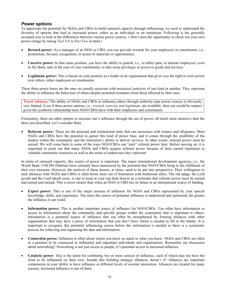#### *Power options*

To appreciate the potential for NGOs and CBOs to build outreach capacity through influencing, we need to understand the diversity of options that lead to increased power, either as an individual or an institution. Following is the generally accepted way to look at the differences between various power sources. ( Don't miss the opportunity to check out your own power ratings by taking *Tool # 8 in Part Two* in hand.)

- **Reward power:** As a manager of an NGO or CBO, you can provide rewards for your employees or constituents, i.e., promotions, favours, recognition, or access to materials or opportunities.
- **Coercive power:** In that same position, you have the ability to punish, i.e., to inflict pain, to demote employees, even to fire them, and, in the case of your constituents, to take away privileges or access to goods and services.
- **Legitimate power:** This is based on your position as a leader in an organisation that gives you the right to exert power over others, either employees or constituents.

These three power bases are the ones we usually associate with *mandated authority* of one kind or another. They represent the ability to influence the behaviour of others despite potential resistance from those affected by their uses.

*Travel Advisory!* The ability of NGOs and CBOs to influence others through authority-type power sources is obviously very limited. Even if these power options, i.e., *reward, coercive and legitimate*, are available, their use would be suspect given the symbiotic relationship most NGO/CBOs have with their employees and constituents.

Fortunately, there are other options to increase one's influence through the use of power, all much more attractive than the three just described. Let's consider them.

• **Referent power:** These are the personal and institutional traits that one associates with respect and allegiance. Most NGOs and CBOs have the potential to garner this kind of power base, and it comes through the credibility of the leaders within the community and the institution's ability to deliver services. In other words, referent power must be earned. We will come back to some of the ways NGO/CBOs can "earn" referent power later. Before moving on, it is important to point out that many NGOs and CBOs acquire referent power because of their earned reputation as valuable community resources as well as the arena of endeavours they represent.

In terms of outreach capacity, this source of power is important. The major international development agencies, i.e., the World Bank, UNCHS (Habitat) have certainly been enamoured by the potential that NGO/CBOs bring to the fulfilment of their own missions. However, the motives of these donors, at times, need to be put into perspective. Their willingness to seek alliances with NGOs and CBOs is often borne more out of frustration with traditional allies. The old adage, the Lord giveth and the Lord taketh away, is one to keep in your top desk drawer as a reminder that referent power must be earned and earned and earned. This is never clearer than when an NGO or CBO ties its future to an international source of funding.

- **Expert power:** This is one of the major sources of influence for NGOs and CBOs represented by your special knowledge, skills, and experience. The more this source of potential influence is understood and optimised, the greater the influence it can wield.
- **Information power:** This is another important source of influence for NGO/CBOs. You often have information or access to information about the community and specific groups within the community that is important to others. Information is a potential source of influence that can often be strengthened by forming alliances with other organisations that may have a piece of information that you don't have which is needed to fill in the blanks. It is important to recognise this potential influencing source before the information is needed so there is a systematic process for collecting and organising the data and information.
- **Connection power:** Influence is often about whom you know as much as what you know. NGOs and CBOs are often in a position to be connected to influential and important individuals and organisations. Remember our discussion about networking? Networking is not just access to people; it's potential access to increased influence.
- **Catalytic power**: This is the talent for combining two or more sources of influence, each of which may not have the clout to be influential on their own. Sounds like building strategic alliances, doesn't it? Alliances are important components in your ability to have influence at different levels of societal interaction. Alliances are created for many reasons. Increased influence is one of them.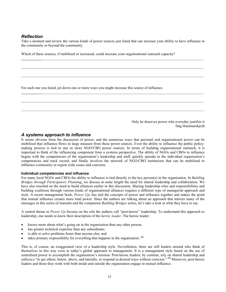# *Reflection*

Take a moment and review the various kinds of power sources just listed that can increase your ability to have influence in the community or beyond the community.

 $\mathcal{L}_\mathcal{L} = \{ \mathcal{L}_\mathcal{L} = \{ \mathcal{L}_\mathcal{L} = \{ \mathcal{L}_\mathcal{L} = \{ \mathcal{L}_\mathcal{L} = \{ \mathcal{L}_\mathcal{L} = \{ \mathcal{L}_\mathcal{L} = \{ \mathcal{L}_\mathcal{L} = \{ \mathcal{L}_\mathcal{L} = \{ \mathcal{L}_\mathcal{L} = \{ \mathcal{L}_\mathcal{L} = \{ \mathcal{L}_\mathcal{L} = \{ \mathcal{L}_\mathcal{L} = \{ \mathcal{L}_\mathcal{L} = \{ \mathcal{L}_\mathcal{$ 

 $\mathcal{L}_\mathcal{L} = \{ \mathcal{L}_\mathcal{L} = \{ \mathcal{L}_\mathcal{L} = \{ \mathcal{L}_\mathcal{L} = \{ \mathcal{L}_\mathcal{L} = \{ \mathcal{L}_\mathcal{L} = \{ \mathcal{L}_\mathcal{L} = \{ \mathcal{L}_\mathcal{L} = \{ \mathcal{L}_\mathcal{L} = \{ \mathcal{L}_\mathcal{L} = \{ \mathcal{L}_\mathcal{L} = \{ \mathcal{L}_\mathcal{L} = \{ \mathcal{L}_\mathcal{L} = \{ \mathcal{L}_\mathcal{L} = \{ \mathcal{L}_\mathcal{$ 

**\_\_\_\_\_\_\_\_\_\_\_**\_\_\_\_\_\_\_\_\_\_\_\_\_\_\_\_\_\_\_\_\_\_\_\_\_\_\_\_\_\_\_\_\_\_\_\_\_\_\_\_\_\_\_\_\_\_\_\_\_\_\_\_\_\_\_\_\_\_\_\_\_\_\_\_\_\_\_\_\_\_\_\_\_\_\_\_\_\_\_\_\_\_\_\_\_\_\_\_

 $\mathcal{L}_\mathcal{L} = \{ \mathcal{L}_\mathcal{L} = \{ \mathcal{L}_\mathcal{L} = \{ \mathcal{L}_\mathcal{L} = \{ \mathcal{L}_\mathcal{L} = \{ \mathcal{L}_\mathcal{L} = \{ \mathcal{L}_\mathcal{L} = \{ \mathcal{L}_\mathcal{L} = \{ \mathcal{L}_\mathcal{L} = \{ \mathcal{L}_\mathcal{L} = \{ \mathcal{L}_\mathcal{L} = \{ \mathcal{L}_\mathcal{L} = \{ \mathcal{L}_\mathcal{L} = \{ \mathcal{L}_\mathcal{L} = \{ \mathcal{L}_\mathcal{$ 

Which of these sources, if mobilised or increased, could increase your organisational outreach capacity?

For each one you listed, jot down one or more ways you might increase this source of influence.

Only he deserves power who everyday justifies it Dag Hammarskjold

### *A systems approach to influence*

It seems obvious from the discussion of power, and the numerous ways that personal and organisational power can be mobilised that influence flows in large measure from these power sources. Even the ability to influence the public policymaking process is tied to one or more NGO/CBO power sources. In terms of building organisational outreach, it is important to think of the influencing component from a systems perspective. The ability of NGOs and CBOs to influence begins with the competencies of the organisation's leadership and staff, quickly spreads to the individual organisation's competencies and track record, and finally involves the network of NGO/CBO institutions that can be mobilised to influence community or region wide issues and concerns.

#### **Individual competencies and influence**

For many local NGOs and CBOs the ability to influence is tied directly to the key person(s) in the organisation. In *Building Bridges through Participatory Planning*, we discuss at some length the need for shared leadership and collaboration. We have also touched on the need to build alliances earlier in this discussion. Sharing leadership roles and responsibilities and building coalitions through various kinds of organisational alliances requires a different type of managerial approach and style. A recent management book, *Power Up*, has tied the concepts of power and influence together and makes the point that mutual influence creates more total power. Since the authors are talking about an approach that mirrors many of the messages in this series of manuals and the companion *Building Bridges* series, let's take a look at what they have to say.

A central theme in *Power Up* focuses on the role the authors call "post-heroic" leadership. To understand this approach to leadership, one needs to know their description of the *heroic leader.* The heroic leader:

- knows more about what's going on in the organisation than any other person;
- has greater technical expertise than any subordinate;
- is able to solve problems faster than anyone else; and
- takes primary responsibility for everything that happens in the organisation. **(2)**

This is, of course, an exaggerated view of a leadership style. Nevertheless, there are still leaders around who think of themselves in this way even in today's global approach to management. It is a management style based on the use of centralised power to accomplish the organisation's mission. Post-heroic leaders, by contrast, rely on shared leadership and *influence* "to get others, below, above, and laterally, to respond in desired ways without coercion." <sup>(3)</sup> Moreover, post-heroic leaders and those they work with both inside and outside the organisation engage in mutual influence.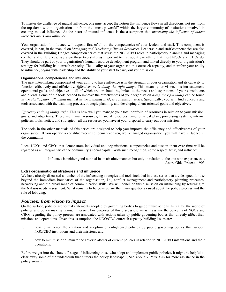To master the challenge of mutual influence, one must accept the notion that influence flows in all directions, not just from the top down within organisations or from the "most powerful" within the larger community of institutions involved in creating mutual influence. At the heart of mutual influence is the assumption that *increasing the influence of others increases one's own influence.* 

Your organisation's influence will depend first of all on the competencies of your leaders and staff. This component is covered, in part, in the manual on *Managing and Developing Human Resources*. Leadership and staff competencies are also covered in the Building Bridges companion series that stress the NGO/CBO roles in participatory planning and managing conflict and differences. We view these two skills as important to just about everything that most NGOs and CBOs do. They should be part of your organisation's human resource development program and linked directly to your organisation's strategy for building its outreach capacity. The quality of your organisation's outreach capacity, and therefore your ability to influence, begins with leadership and the ability of your staff to carry out your mission.

#### **Organisational competencies and influence**

The next inter-linking component of your ability to have influence is in the strength of your organisation and its capacity to function effectively and efficiently*. Effectiveness is doing the right things*. This means your vision, mission statement, operational goals, and objectives – all of which are, or should be, linked to the needs and aspirations of your constituents and clients. Some of the tools needed to improve the effectiveness of your organisation *doing the right things* can be found in the *Participatory Planning* manual in the *Building Bridges* companion series. Specifically, you will find concepts and tools associated with the visioning process, strategic planning, and developing client-oriented goals and objectives.

*Efficiency is doing things right.* This is how well you manage your total portfolio of resources in relation to your mission, goals, and objectives. These are human resources, financial resources, time, physical plant, processing systems, internal policies, tools, tactics, and strategies - all the resources you have at your disposal to carry out your mission.

The tools in the other manuals of this series are designed to help you improve the efficiency and effectiveness of your organisation. If you operate a constituent-centred, demand-driven, well-managed organisation, you will have influence in the community.

Local NGOs and CBOs that demonstrate individual and organisational competencies and sustain them over time will be regarded as an integral part of the community's social capital. With such recognition, come respect, trust, and influence.

> Influence is neither good nor bad in an absolute manner, but only in relation to the one who experiences it Andre Gide, Pretexts 1903

#### **Extra-organisational strategies and influence**

We have already discussed a number of the influencing strategies and tools included in these series that are designed for use beyond the immediate boundaries of the organisation, i.e., conflict management and participatory planning processes, networking and the broad range of communication skills. We will conclude this discussion on influencing by returning to the Nakuru needs assessment. What remains to be covered are the many questions raised about the policy process and the role of lobbying.

#### *Policies: from vision to impact*

On the surface, policies are formal statements adopted by governing bodies to guide future actions. In reality, the world of policies and policy making is much messier. For purposes of this discussion, we will assume the concerns of NGOs and CBOs regarding the policy process are associated with actions taken by public governing bodies that directly affect their missions and operations. Given this assumption, the NGO/CBO outreach capacity-building issues are:

- 1. how to influence the creation and adoption of enlightened policies by public governing bodies that support NGO/CBO institutions and their missions, and
- 2. how to minimise or eliminate the adverse affects of current policies in relation to NGO/CBO institutions and their operations.

Before we get into the "how to" stage of influencing those who adopt and implement public policies, it might be helpful to clear away some of the underbrush that clutters the policy landscape. ( See *Tool # 9: Part Two* for more assistance in the policy arena.)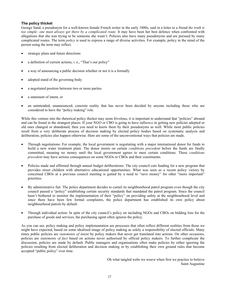#### **The policy thicket**

George Sand, a pseudonym for a well-known female French writer in the early 1800s, said in a letter to a friend *the truth is too simple: one must always get there by a complicated route.* It may have been her best defence when confronted with allegations that she was trying to be someone she wasn't. Policies also have many pseudonyms and are pursued by many complicated routes. The term *policy* is used to express a range of diverse activities. For example, policy in the mind of the person using the term may reflect.

- strategic plans and future directions
- a definition of current actions, i. e., "That's our policy"
- a way of announcing a public decision whether or not it is a formally
- adopted stand of the governing body
- a negotiated position between two or more parties
- a statement of intent, or
- an unintended, unannounced, concrete reality that has never been decided by anyone including those who are considered to have the "policy making" role.

While this venture into the rhetorical policy thicket may seem frivolous, it is important to understand that "policies" abound and can be found in the strangest places. If your NGO or CBO is going to have *influence* in getting new policies adopted or old ones changed or abandoned, then you need to know them by their pseudonyms as well. While most public policies result from a very deliberate process of decision making by elected policy bodies based on systematic analysis and deliberation, policies also happen otherwise. Here are some of the unconventional ways that policies are made.

- Through negotiations: For example, the local government is negotiating with a major international donor for funds to build a new water treatment plant. The donor insists on certain *conditions precedent* before the funds are finally committed, meaning no money until the local government agrees to meet certain conditions. These *conditions precedent* may have serious consequences on some NGOs or CBOs and their constituents.
- Policies made and affirmed through annual budget deliberations: The city council cuts funding for a new program that provides street children with alternative educational opportunities. What was seen as a recent policy victory by concerned CBOs at a previous council meeting is gutted by a need to "save money" for other "more important" priorities.
- By administrative fiat: The police department decides to curtail its neighbourhood patrol program even though the city council passed a "policy" establishing certain security standards that mandated the patrol program. Since the council hasn't bothered to monitor the implementation of their "policy" on providing safety at the neighbourhood level and since there have been few formal complaints, the police department has established its own policy about neighbourhood patrols by default.
- Through individual action: In spite of the city council's policy on including NGOs and CBOs on bidding lists for the purchase of goods and services, the purchasing agent often ignores the policy.

As you can see, policy making and policy implementation are processes that often reflect different realities from those we might have expected, based on some idealised image of policy making as solely a responsibility of elected officials. Many times public policies are *statements of intent* by policy makers that never get translated into actions. On other occasions, policies are *statements of fact* based on actions never authorised by official policy makers. To further complicate the discussion, policies are made by default. Public managers and organisations often make policies by either ignoring the policies resulting from elected deliberation and decision making or by establishing their own ground rules that become accepted "public policy" over time.

> Oh what tangled webs we weave when first we practice to believe Saint Augustine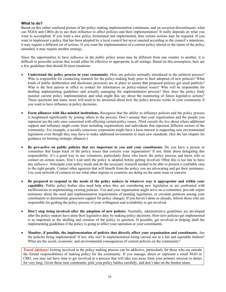#### **What to do?**

Based on this rather confused picture of the policy making implementation continuum, and on occasion discontinuum, what can NGOs and CBOs do to use their influence to affect policies and their implementation? It really depends on what you want to accomplish. If you want a new policy formulated and implemented, then certain actions may be required. If you want to implement a policy that has been adopted by a local council but never enacted according to the council's intentions, it may require a different set of actions. If you want the implementation of a current policy altered or the intent of the policy amended, it may require another strategy.

Since the opportunities to have *influence* in the public policy arena may be different from one country to another, it is difficult to prescribe actions that would either be effective or appropriate in all settings. Based on this assumption, here are a few guidelines that should fit most situations.

- **Understand the policy process in your community**. How are policies normally introduced in the political process? Who is responsible for conducting research for the policy-making body prior to their adoption of new policies? What kinds of public deliberation and disclosure processes are in place to assure that proposed policies get aired publicly? Who is the best person or office to contact for information on policy-related issues? Who will be responsible for drafting implementing guidelines and actually managing the implementation process? How does the policy body monitor current policy implementation and what might this say about the monitoring of future legislative actions? These questions and many more will need to be answered about how the policy process works in your community if you want to have influence in policy decisions.
- **Form alliances with like-minded institutions.** Recognise that the ability to influence policies and the policy process is heightened significantly by joining others in the process. Don't assume that your organisation and the people you represent are the only ones concerned with affecting certain policy issues. *Think outside the box* about where additional support and influence might come from including organisations and individuals that represent different sectors of the community. For example, a socially conscious corporation might have a keen interest is supporting new environmental legislation even though they may have to make additional investments to meet new standards. (See the last chapter for guidance on forming strategic alliances.)
- **Be pro-active on public policies that are important to you and your constituents.** Do you have a person or committee that keeps track of the policy issues that concern your organisation? If not, think about delegating this responsibility. It's a good way to use volunteers, particularly those who know the policy process and know who to contact on certain issues. Don't wait until the policy is adopted before getting involved. Often this is too late to have any *influence.* Anticipate your policy needs and do the necessary research needed to be able to present a creditable case to the right people. Contact other agencies that will benefit from the policy you are advocating and get their assistance. Use your network of contacts to see what other regions or countries are doing on the same issue or concern.
- **Be prepared to respond to the needs of the policy makers in whatever way is appropriate and within your capability.** Public policy bodies also need help when they are considering new legislation or are confronted with inefficiencies in implementing existing policies. You and your organisation might serve on a committee, provide expert testimony about the need and implementation requirements of pending legislation, or circulate petitions among your constituents to demonstrate grassroots support for policy changes. If you haven't done so already, inform those who are responsible for guiding the policy process of your willingness and availability to get involved.
- **Don't stop being involved after the adoption of new policies**. Normally, administrative guidelines are developed after the policy makers have done their legislative duty by making policy decisions. How new policies get implemented is as important as the drafting and creation of the policy in question. If possible, get involved in helping draft the implementing guidelines if the policy is going to affect your operation or your constituents.
- **Monitor, if possible, the implementation of policies that directly affect your organisation and constituents.** Are the policies being implemented? If not, why not? Is implementation being carried out in a fair and equitable fashion? What are the social, economic, and environmental consequences of current policies on the community?

*Travel Advisory!* Getting involved in the policy making process can be addictive, particularly for those who are outside the formal responsibilities of making policy for the community. If you manage, direct or represent a small NGO or CBO, you may not have time to get involved in a process that will take you away from your primary mission or duties for very long. Given these time constraints, pick your policy battles carefully, and don't take on the burden alone.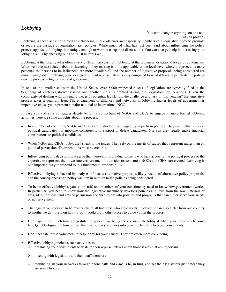# *Lobbying*

#### You can't hang everything on one nail Russian proverb

Lobbying is those activities aimed at influencing public officials and especially members of a legislative body to promote or secure the passage of legislation, i.e., policies. While much of what has just been said about influencing the policy process applies to lobbying, it is unique enough to warrant a separate discussion. ( You can also get help in increasing your lobbying skills by checking out Tool # 10 in Part Two.)

Lobbying at the local level is often a very different process from lobbying at the provincial or national levels of governance. What we have just related about influencing policy making is more applicable at the local level where the process is more personal, the persons to be influenced are more "available", and the number of legislative proposals being considered are more manageable. Lobbying your local government representative is easy compared to what it takes to penetrate the policymaking process in higher levels of government.

In one of the smaller states in the United States, over 5,000 proposed pieces of legislation are typically filed at the beginning of each legislative session and another 2,500 submitted during the legislators' deliberations. Given the complexity of dealing with this many pieces of potential legislation, the challenge and task of "influencing" the legislative process takes a quantum leap. The engagement of alliances and networks in lobbying higher levels of government is imperative unless you represent a major national or international NGO.

In case you and your colleagues decide to join a consortium of NGOs and CBOs to engage in more formal lobbying activities, here are some thoughts about the process.

- In a number of countries, NGOs and CBOs are restricted from engaging in partisan politics. They can neither endorse political candidates nor mobilise constituents to support or defeat candidates. Nor can they legally make financial contributions to political candidates.
- When NGOs and CBOs lobby, they speak to the issues. They rely on the merits of causes they represent rather than on political persuasion. Their positions must be credible.
- Influencing public decisions that serve the interests of individual citizens who lack access to the political process or the expertise to represent their own interests are one of the major reasons most NGOs and CBOs are created. Lobbying is one important way to respond to this fundamental responsibility.
- Effective lobbying is backed by analyses of needs, alternative proposals, likely results of alternative policy proposals, and the consequences of a policy vacuum in relation to the policies being considered.
- To be an effective lobbyist, you, your staff, and members of your constituency need to know how government works. In particular, you need to know how the legislative machinery develops policies and laws from the raw materials of data, ideas, options, and acts of persuasion and turns them into policies and programs that can either serve your needs or not serve them.
- The legislative process can be mysterious to all but those who are directly involved. It can also differ from one country to another so don't rely on how-to-do-it books from other places to guide you in the process.
- Don't spend too much time congratulating yourself on being the consummate lobbyist when your proposals become law. Quickly figure out how to turn the new policies and laws into concrete benefits for your constituents.
- Don't hesitate to use volunteers to help lobby for your causes. They are often more convincing.
- Effective lobbying includes such activities as:
	- $\triangleright$  organising your constituents to write to their representatives about those issues that are important
	- $\triangleright$  meeting with legislators and their staff members
	- $\triangleright$  mobilising all your networks through phone calls and e-mails to, in turn, contact their legislators just before they are ready to vote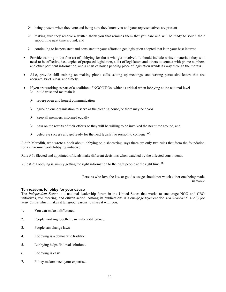- ¾ being present when they vote and being sure they know you and your representatives are present
- $\triangleright$  making sure they receive a written thank you that reminds them that you care and will be ready to solicit their support the next time around, and
- $\triangleright$  continuing to be persistent and consistent in your efforts to get legislation adopted that is in your best interest.
- Provide training in the fine art of lobbying for those who get involved. It should include written materials they will need to be effective, i.e., copies of proposed legislation, a list of legislators and others to contact with phone numbers and other pertinent information, and a chart of how a pending piece of legislation wends its way through the morass.
- Also, provide skill training on making phone calls, setting up meetings, and writing persuasive letters that are accurate, brief, clear, and timely.
- If you are working as part of a coalition of NGO/CBOs, which is critical when lobbying at the national level  $\triangleright$  build trust and maintain it
	- $\triangleright$  revere open and honest communication
	- $\triangleright$  agree on one organisation to serve as the clearing house, or there may be chaos
	- $\triangleright$  keep all members informed equally
	- $\triangleright$  pass on the results of their efforts so they will be willing to be involved the next time around, and
	- ¾ celebrate success and get ready for the next legislative session to convene. **(4)**

Judith Meredith, who wrote a book about lobbying on a shoestring, says there are only two rules that form the foundation for a citizen-network lobbying initiative.

Rule # 1: Elected and appointed officials make different decisions when watched by the affected constituents.

Rule # 2: Lobbying is simply getting the right information to the right people at the right time. **(5)**

Persons who love the law or good sausage should not watch either one being made **Bismarck** 

#### **Ten reasons to lobby for your cause**

The *Independent Sector* is a national leadership forum in the United States that works to encourage NGO and CBO initiatives, volunteering, and citizen action. Among its publications is a one-page flyer entitled *Ten Reasons to Lobby for Your Cause* which makes it ten good reasons to share it with you.

- 1. You can make a difference.
- 2. People working together can make a difference.
- 3. People can change laws.
- 4. Lobbying is a democratic tradition.
- 5. Lobbying helps find real solutions.
- 6. Lobbying is easy.
- 7. Policy makers need your expertise.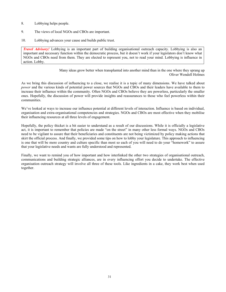- 8. Lobbying helps people.
- 9. The views of local NGOs and CBOs are important.
- 10. Lobbying advances your cause and builds public trust.

*Travel Advisory!* Lobbying is an important part of building organisational outreach capacity. Lobbying is also an important and necessary function within the democratic process, but it doesn't work if your legislators don't know what NGOs and CBOs need from them. They are elected to represent you, not to read your mind. Lobbying is influence in action. Lobby.

> Many ideas grow better when transplanted into another mind than in the one where they sprang up Oliver Wendell Holmes

As we bring this discussion of influencing to a close, we realise it is a topic of many dimensions. We have talked about *power* and the various kinds of potential power sources that NGOs and CBOs and their leaders have available to them to increase their influence within the community. Often NGOs and CBOs believe they are powerless, particularly the smaller ones. Hopefully, the discussion of power will provide insights and reassurances to those who feel powerless within their communities.

We've looked at ways to increase our influence potential at different levels of interaction. Influence is based on individual, organisation and extra-organisational competencies and strategies. NGOs and CBOs are most effective when they mobilise their influencing resources at all three levels of engagement.

Hopefully, the policy thicket is a bit easier to understand as a result of our discussions. While it is officially a legislative act, it is important to remember that policies are made "on the street" in many other less formal ways. NGOs and CBOs need to be vigilant to assure that their beneficiaries and constituents are not being victimized by policy making actions that skirt the official process. And finally, we provided some tips on how to lobby your legislature. This approach to influencing is one that will be more country and culture specific than most so each of you will need to do your "homework" to assure that your legislative needs and wants are fully understood and represented.

Finally, we want to remind you of how important and how interlinked the other two strategies of organisational outreach, communications and building strategic alliances, are in every influencing effort you decide to undertake. The effective organisation outreach strategy will involve all three of these tools. Like ingredients in a cake, they work best when used together.